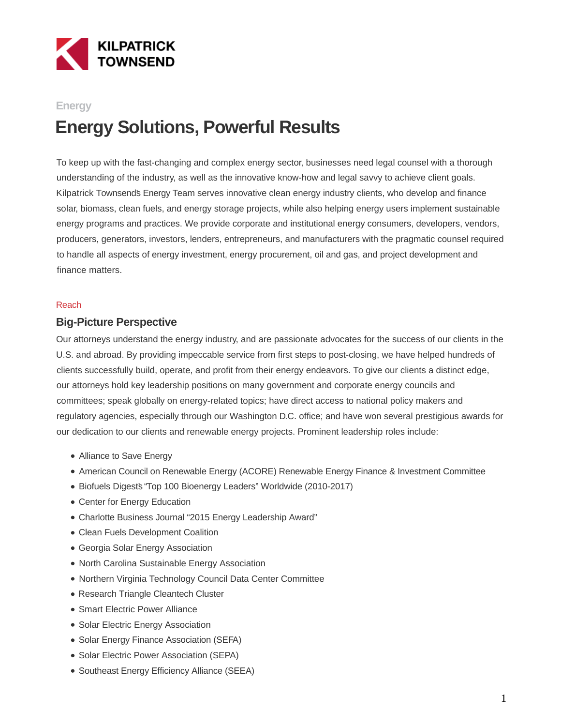

# **Energy Energy Solutions, Powerful Results**

To keep up with the fast-changing and complex energy sector, businesses need legal counsel with a thorough understanding of the industry, as well as the innovative know-how and legal savvy to achieve client goals. Kilpatrick Townsend's Energy Team serves innovative clean energy industry clients, who develop and finance solar, biomass, clean fuels, and energy storage projects, while also helping energy users implement sustainable energy programs and practices. We provide corporate and institutional energy consumers, developers, vendors, producers, generators, investors, lenders, entrepreneurs, and manufacturers with the pragmatic counsel required to handle all aspects of energy investment, energy procurement, oil and gas, and project development and finance matters.

#### Reach

### **Big-Picture Perspective**

Our attorneys understand the energy industry, and are passionate advocates for the success of our clients in the U.S. and abroad. By providing impeccable service from first steps to post-closing, we have helped hundreds of clients successfully build, operate, and profit from their energy endeavors. To give our clients a distinct edge, our attorneys hold key leadership positions on many government and corporate energy councils and committees; speak globally on energy-related topics; have direct access to national policy makers and regulatory agencies, especially through our Washington D.C. office; and have won several prestigious awards for our dedication to our clients and renewable energy projects. Prominent leadership roles include:

- Alliance to Save Energy
- American Council on Renewable Energy (ACORE) Renewable Energy Finance & Investment Committee
- Biofuels Digest's "Top 100 Bioenergy Leaders" Worldwide (2010-2017)
- Center for Energy Education
- Charlotte Business Journal "2015 Energy Leadership Award"
- Clean Fuels Development Coalition
- Georgia Solar Energy Association
- North Carolina Sustainable Energy Association
- Northern Virginia Technology Council Data Center Committee
- Research Triangle Cleantech Cluster
- Smart Electric Power Alliance
- Solar Electric Energy Association
- Solar Energy Finance Association (SEFA)
- Solar Electric Power Association (SEPA)
- **Southeast Energy Efficiency Alliance (SEEA)**